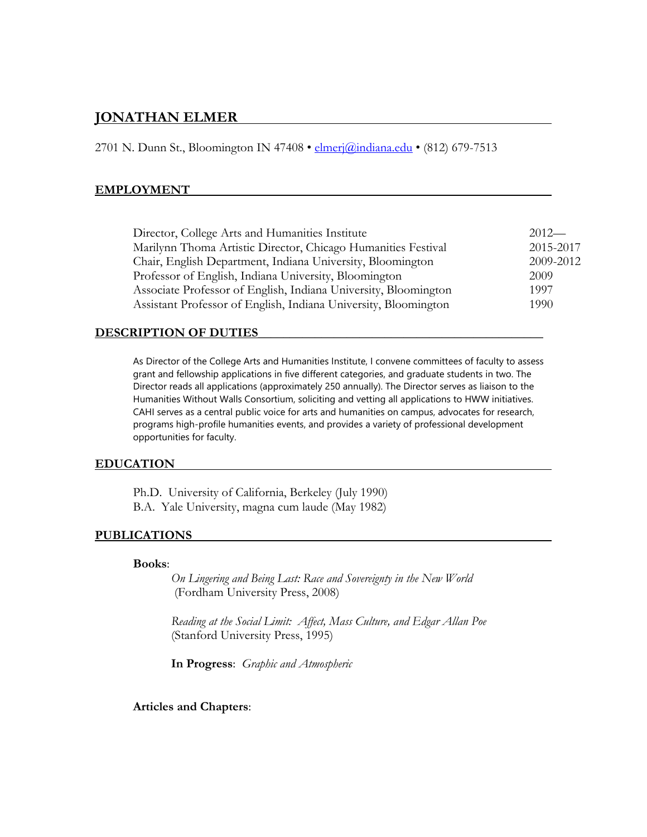# **JONATHAN ELMER**

2701 N. Dunn St., Bloomington IN 47408 • [elmerj@indiana.edu](mailto:elmerj@indiana.edu) • (812) 679-7513

#### **EMPLOYMENT**

| 2015-2017<br>Marilynn Thoma Artistic Director, Chicago Humanities Festival | $2012-$ |
|----------------------------------------------------------------------------|---------|
|                                                                            |         |
| 2009-2012<br>Chair, English Department, Indiana University, Bloomington    |         |
| Professor of English, Indiana University, Bloomington<br>2009              |         |
| Associate Professor of English, Indiana University, Bloomington<br>1997    |         |
| Assistant Professor of English, Indiana University, Bloomington<br>1990    |         |

#### **DESCRIPTION OF DUTIES\_\_\_\_\_\_\_\_\_\_\_\_\_\_\_\_\_\_\_\_\_\_\_\_\_\_\_\_\_\_\_\_\_\_\_\_\_\_\_\_\_\_\_\_\_**

As Director of the College Arts and Humanities Institute, I convene committees of faculty to assess grant and fellowship applications in five different categories, and graduate students in two. The Director reads all applications (approximately 250 annually). The Director serves as liaison to the Humanities Without Walls Consortium, soliciting and vetting all applications to HWW initiatives. CAHI serves as a central public voice for arts and humanities on campus, advocates for research, programs high-profile humanities events, and provides a variety of professional development opportunities for faculty.

#### **EDUCATION**

Ph.D. University of California, Berkeley (July 1990) B.A. Yale University, magna cum laude (May 1982)

#### **PUBLICATIONS**

#### **Books**:

*On Lingering and Being Last: Race and Sovereignty in the New World* (Fordham University Press, 2008)

*Reading at the Social Limit: Affect, Mass Culture, and Edgar Allan Poe* (Stanford University Press, 1995)

**In Progress**: *Graphic and Atmospheric*

#### **Articles and Chapters**: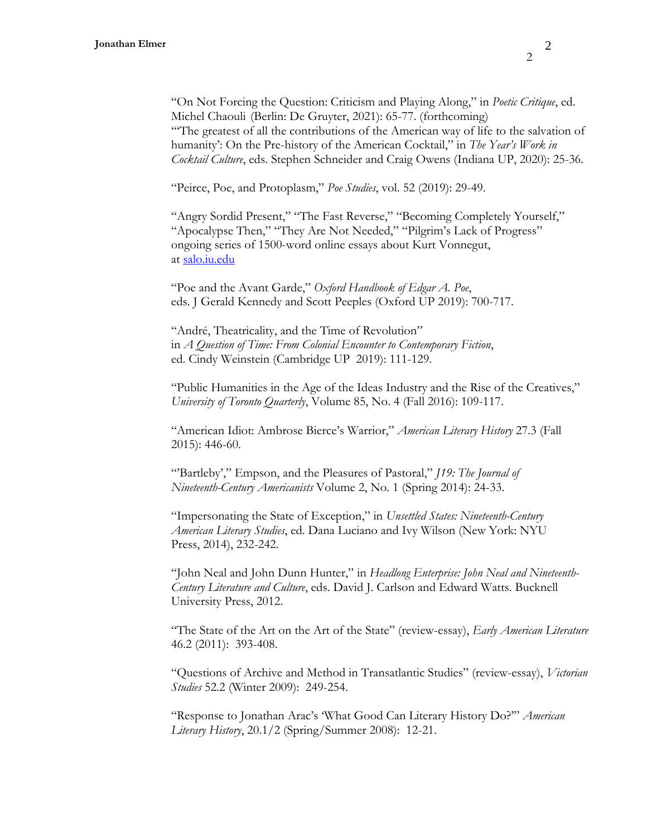"On Not Forcing the Question: Criticism and Playing Along," in *Poetic Critique*, ed. Michel Chaouli (Berlin: De Gruyter, 2021): 65-77. (forthcoming) "'The greatest of all the contributions of the American way of life to the salvation of humanity': On the Pre-history of the American Cocktail," in *The Year's Work in Cocktail Culture*, eds. Stephen Schneider and Craig Owens (Indiana UP, 2020): 25-36.

"Peirce, Poe, and Protoplasm," *Poe Studies*, vol. 52 (2019): 29-49.

"Angry Sordid Present," "The Fast Reverse," "Becoming Completely Yourself," "Apocalypse Then," "They Are Not Needed," "Pilgrim's Lack of Progress" ongoing series of 1500-word online essays about Kurt Vonnegut, at [salo.iu.edu](/Users/jonathanelmer/Desktop/CV/salo.iu.edu)

"Poe and the Avant Garde," *Oxford Handbook of Edgar A. Poe*, eds. J Gerald Kennedy and Scott Peeples (Oxford UP 2019): 700-717.

"André, Theatricality, and the Time of Revolution" in *A Question of Time: From Colonial Encounter to Contemporary Fiction*, ed. Cindy Weinstein (Cambridge UP 2019): 111-129.

"Public Humanities in the Age of the Ideas Industry and the Rise of the Creatives," *University of Toronto Quarterly*, Volume 85, No. 4 (Fall 2016): 109-117.

"American Idiot: Ambrose Bierce's Warrior," *American Literary History* 27.3 (Fall 2015): 446-60.

"Bartleby'," Empson, and the Pleasures of Pastoral," *[19: The Journal of Nineteenth-Century Americanists* Volume 2, No. 1 (Spring 2014): 24-33.

"Impersonating the State of Exception," in *Unsettled States: Nineteenth-Century American Literary Studies*, ed. Dana Luciano and Ivy Wilson (New York: NYU Press, 2014), 232-242.

"John Neal and John Dunn Hunter," in *Headlong Enterprise: John Neal and Nineteenth-Century Literature and Culture*, eds. David J. Carlson and Edward Watts. Bucknell University Press, 2012.

"The State of the Art on the Art of the State" (review-essay), *Early American Literature* 46.2 (2011): 393-408.

"Questions of Archive and Method in Transatlantic Studies" (review-essay), *Victorian Studies* 52.2 (Winter 2009): 249-254.

"Response to Jonathan Arac's 'What Good Can Literary History Do?'" *American Literary History*, 20.1/2 (Spring/Summer 2008): 12-21.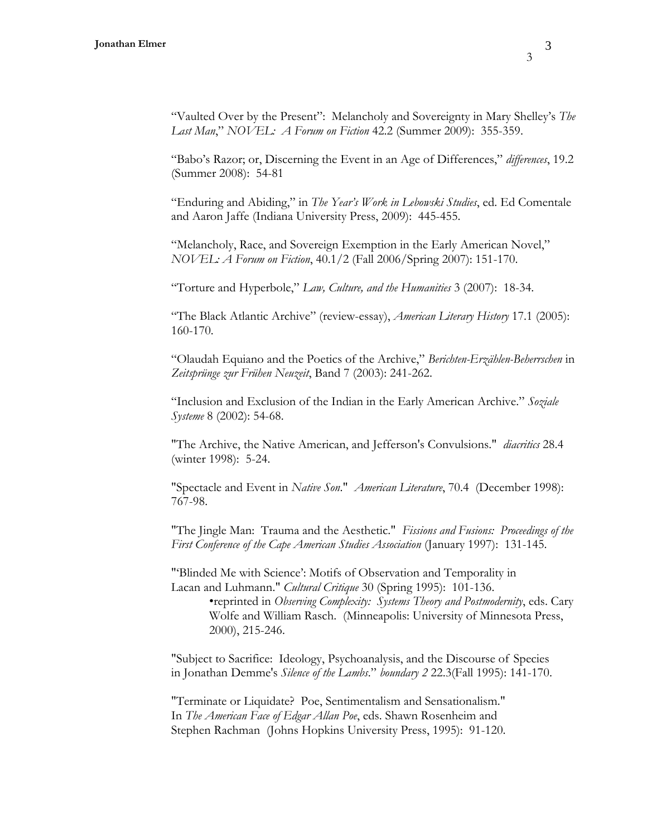3

"Vaulted Over by the Present": Melancholy and Sovereignty in Mary Shelley's *The Last Man*," *NOVEL: A Forum on Fiction* 42.2 (Summer 2009): 355-359.

"Babo's Razor; or, Discerning the Event in an Age of Differences," *differences*, 19.2 (Summer 2008): 54-81

"Enduring and Abiding," in *The Year's Work in Lebowski Studies*, ed. Ed Comentale and Aaron Jaffe (Indiana University Press, 2009): 445-455.

"Melancholy, Race, and Sovereign Exemption in the Early American Novel," *NOVEL: A Forum on Fiction*, 40.1/2 (Fall 2006/Spring 2007): 151-170.

"Torture and Hyperbole," *Law, Culture, and the Humanities* 3 (2007): 18-34.

"The Black Atlantic Archive" (review-essay), *American Literary History* 17.1 (2005): 160-170.

"Olaudah Equiano and the Poetics of the Archive," *Berichten-Erzählen-Beherrschen* in *Zeitsprünge zur Frühen Neuzeit*, Band 7 (2003): 241-262.

"Inclusion and Exclusion of the Indian in the Early American Archive." *Soziale Systeme* 8 (2002): 54-68.

"The Archive, the Native American, and Jefferson's Convulsions." *diacritics* 28.4 (winter 1998): 5-24.

"Spectacle and Event in *Native Son*." *American Literature*, 70.4 (December 1998): 767-98.

"The Jingle Man: Trauma and the Aesthetic." *Fissions and Fusions: Proceedings of the First Conference of the Cape American Studies Association* (January 1997): 131-145.

"'Blinded Me with Science': Motifs of Observation and Temporality in Lacan and Luhmann." *Cultural Critique* 30 (Spring 1995): 101-136. •reprinted in *Observing Complexity: Systems Theory and Postmodernity*, eds. Cary Wolfe and William Rasch. (Minneapolis: University of Minnesota Press,

2000), 215-246.

"Subject to Sacrifice: Ideology, Psychoanalysis, and the Discourse of Species in Jonathan Demme's *Silence of the Lambs*." *boundary 2* 22.3(Fall 1995): 141-170.

"Terminate or Liquidate? Poe, Sentimentalism and Sensationalism." In *The American Face of Edgar Allan Poe*, eds. Shawn Rosenheim and Stephen Rachman (Johns Hopkins University Press, 1995): 91-120.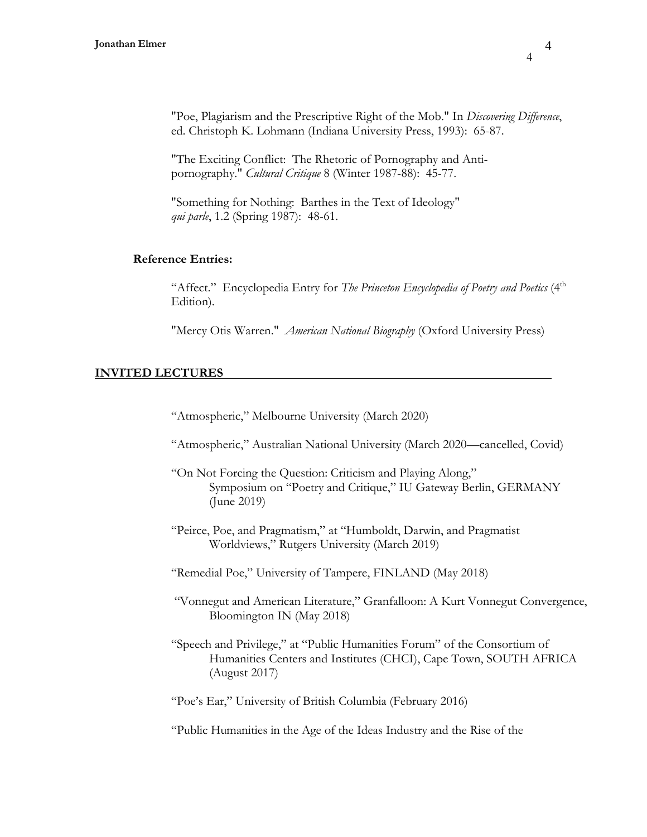"Poe, Plagiarism and the Prescriptive Right of the Mob." In *Discovering Difference*, ed. Christoph K. Lohmann (Indiana University Press, 1993): 65-87.

"The Exciting Conflict: The Rhetoric of Pornography and Antipornography." *Cultural Critique* 8 (Winter 1987-88): 45-77.

"Something for Nothing: Barthes in the Text of Ideology" *qui parle*, 1.2 (Spring 1987): 48-61.

### **Reference Entries:**

"Affect." Encyclopedia Entry for *The Princeton Encyclopedia of Poetry and Poetics* (4<sup>th</sup> Edition).

"Mercy Otis Warren." *American National Biography* (Oxford University Press)

#### **INVITED LECTURES**

"Atmospheric," Melbourne University (March 2020)

- "Atmospheric," Australian National University (March 2020—cancelled, Covid)
- "On Not Forcing the Question: Criticism and Playing Along," Symposium on "Poetry and Critique," IU Gateway Berlin, GERMANY (June 2019)
- "Peirce, Poe, and Pragmatism," at "Humboldt, Darwin, and Pragmatist Worldviews," Rutgers University (March 2019)
- "Remedial Poe," University of Tampere, FINLAND (May 2018)
- "Vonnegut and American Literature," Granfalloon: A Kurt Vonnegut Convergence, Bloomington IN (May 2018)
- "Speech and Privilege," at "Public Humanities Forum" of the Consortium of Humanities Centers and Institutes (CHCI), Cape Town, SOUTH AFRICA (August 2017)

"Poe's Ear," University of British Columbia (February 2016)

"Public Humanities in the Age of the Ideas Industry and the Rise of the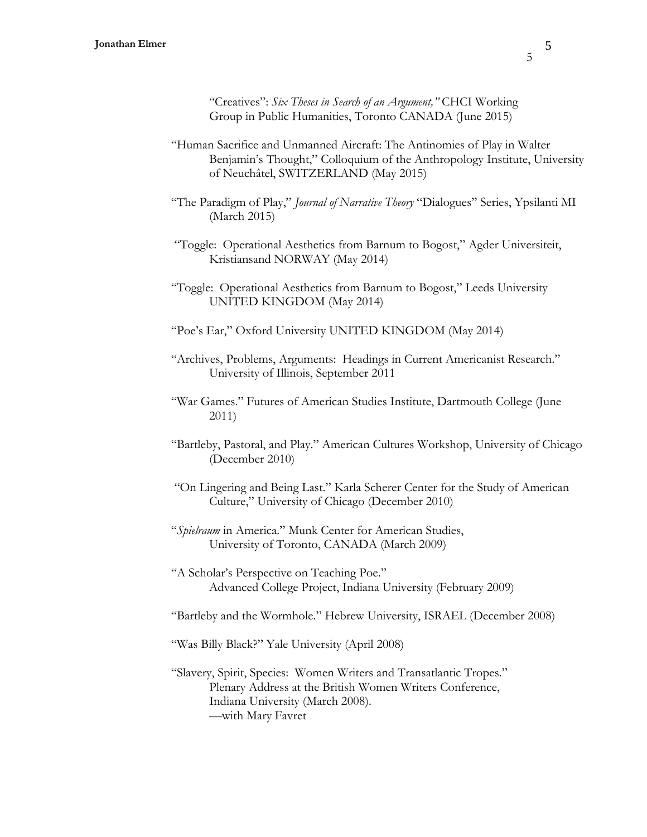"Creatives": *Six Theses in Search of an Argument,"* CHCI Working Group in Public Humanities, Toronto CANADA (June 2015)

- "Human Sacrifice and Unmanned Aircraft: The Antinomies of Play in Walter Benjamin's Thought," Colloquium of the Anthropology Institute, University of Neuchâtel, SWITZERLAND (May 2015)
- "The Paradigm of Play," *Journal of Narrative Theory* "Dialogues" Series, Ypsilanti MI (March 2015)
- "Toggle: Operational Aesthetics from Barnum to Bogost," Agder Universiteit, Kristiansand NORWAY (May 2014)
- "Toggle: Operational Aesthetics from Barnum to Bogost," Leeds University UNITED KINGDOM (May 2014)
- "Poe's Ear," Oxford University UNITED KINGDOM (May 2014)
- "Archives, Problems, Arguments: Headings in Current Americanist Research." University of Illinois, September 2011
- "War Games." Futures of American Studies Institute, Dartmouth College (June 2011)
- "Bartleby, Pastoral, and Play." American Cultures Workshop, University of Chicago (December 2010)
- "On Lingering and Being Last." Karla Scherer Center for the Study of American Culture," University of Chicago (December 2010)
- "*Spielraum* in America." Munk Center for American Studies, University of Toronto, CANADA (March 2009)
- "A Scholar's Perspective on Teaching Poe." Advanced College Project, Indiana University (February 2009)
- "Bartleby and the Wormhole." Hebrew University, ISRAEL (December 2008)
- "Was Billy Black?" Yale University (April 2008)
- "Slavery, Spirit, Species: Women Writers and Transatlantic Tropes." Plenary Address at the British Women Writers Conference, Indiana University (March 2008). —with Mary Favret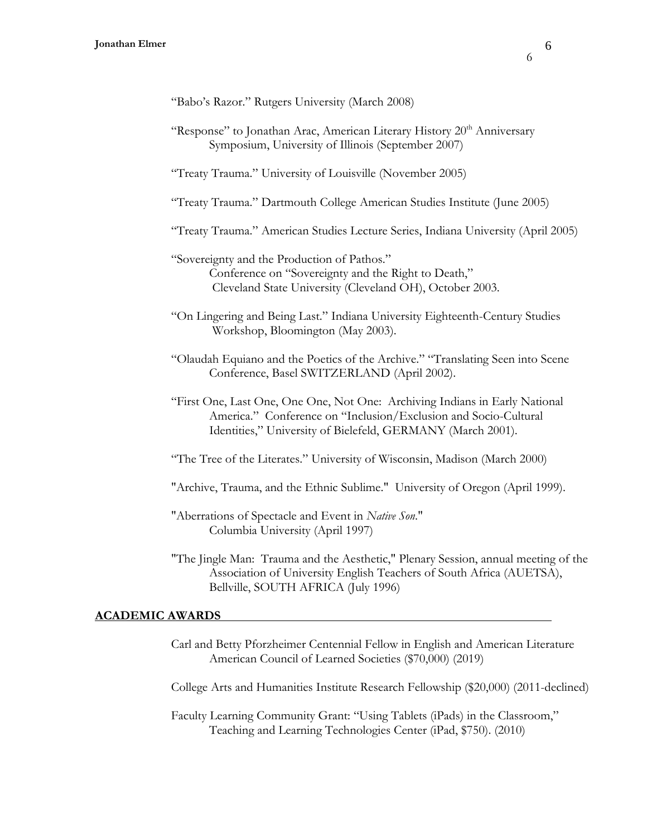"Response" to Jonathan Arac, American Literary History 20<sup>th</sup> Anniversary Symposium, University of Illinois (September 2007)

"Treaty Trauma." University of Louisville (November 2005)

"Treaty Trauma." Dartmouth College American Studies Institute (June 2005)

"Treaty Trauma." American Studies Lecture Series, Indiana University (April 2005)

- "Sovereignty and the Production of Pathos." Conference on "Sovereignty and the Right to Death," Cleveland State University (Cleveland OH), October 2003.
- "On Lingering and Being Last." Indiana University Eighteenth-Century Studies Workshop, Bloomington (May 2003).
- "Olaudah Equiano and the Poetics of the Archive." "Translating Seen into Scene Conference, Basel SWITZERLAND (April 2002).
- "First One, Last One, One One, Not One: Archiving Indians in Early National America." Conference on "Inclusion/Exclusion and Socio-Cultural Identities," University of Bielefeld, GERMANY (March 2001).
- "The Tree of the Literates." University of Wisconsin, Madison (March 2000)
- "Archive, Trauma, and the Ethnic Sublime." University of Oregon (April 1999).
- "Aberrations of Spectacle and Event in *Native Son*." Columbia University (April 1997)
- "The Jingle Man: Trauma and the Aesthetic," Plenary Session, annual meeting of the Association of University English Teachers of South Africa (AUETSA), Bellville, SOUTH AFRICA (July 1996)

#### **ACADEMIC AWARDS**

Carl and Betty Pforzheimer Centennial Fellow in English and American Literature American Council of Learned Societies (\$70,000) (2019)

College Arts and Humanities Institute Research Fellowship (\$20,000) (2011-declined)

Faculty Learning Community Grant: "Using Tablets (iPads) in the Classroom," Teaching and Learning Technologies Center (iPad, \$750). (2010)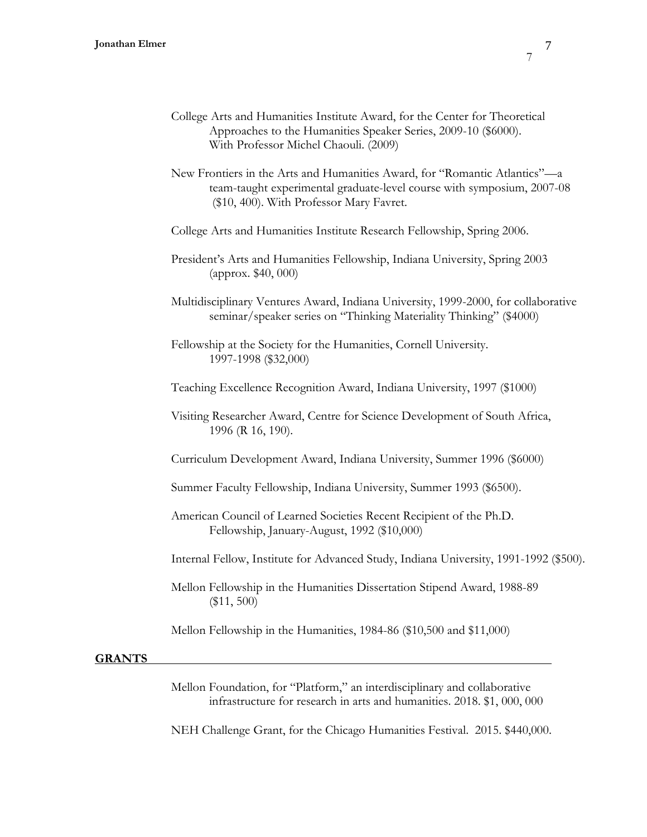- College Arts and Humanities Institute Award, for the Center for Theoretical Approaches to the Humanities Speaker Series, 2009-10 (\$6000). With Professor Michel Chaouli. (2009)
- New Frontiers in the Arts and Humanities Award, for "Romantic Atlantics"—a team-taught experimental graduate-level course with symposium, 2007-08 (\$10, 400). With Professor Mary Favret.
- College Arts and Humanities Institute Research Fellowship, Spring 2006.
- President's Arts and Humanities Fellowship, Indiana University, Spring 2003 (approx. \$40, 000)
- Multidisciplinary Ventures Award, Indiana University, 1999-2000, for collaborative seminar/speaker series on "Thinking Materiality Thinking" (\$4000)
- Fellowship at the Society for the Humanities, Cornell University. 1997-1998 (\$32,000)
- Teaching Excellence Recognition Award, Indiana University, 1997 (\$1000)
- Visiting Researcher Award, Centre for Science Development of South Africa, 1996 (R 16, 190).
- Curriculum Development Award, Indiana University, Summer 1996 (\$6000)
- Summer Faculty Fellowship, Indiana University, Summer 1993 (\$6500).
- American Council of Learned Societies Recent Recipient of the Ph.D. Fellowship, January-August, 1992 (\$10,000)
- Internal Fellow, Institute for Advanced Study, Indiana University, 1991-1992 (\$500).
- Mellon Fellowship in the Humanities Dissertation Stipend Award, 1988-89 (\$11, 500)
- Mellon Fellowship in the Humanities, 1984-86 (\$10,500 and \$11,000)

#### **GRANTS**

Mellon Foundation, for "Platform," an interdisciplinary and collaborative infrastructure for research in arts and humanities. 2018. \$1, 000, 000

NEH Challenge Grant, for the Chicago Humanities Festival. 2015. \$440,000.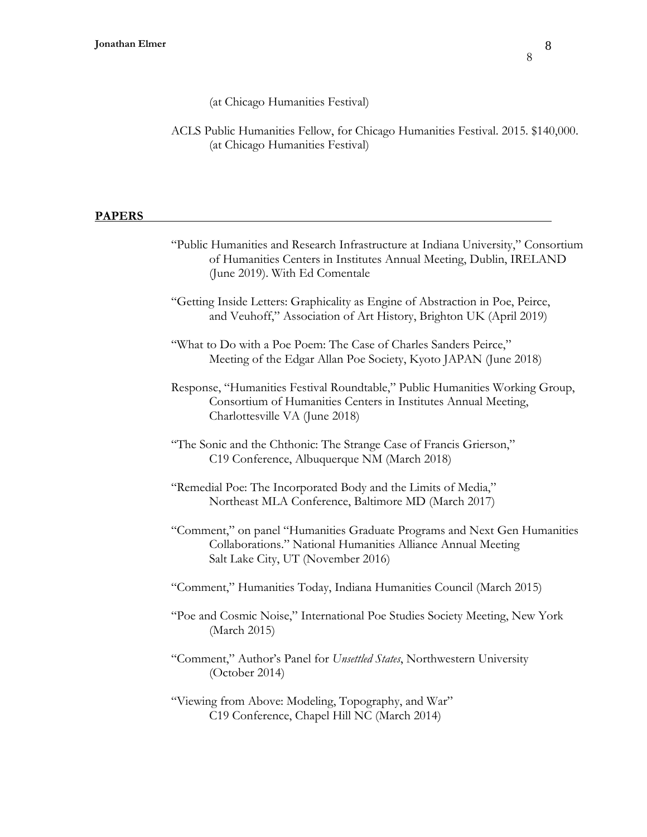8

(at Chicago Humanities Festival)

ACLS Public Humanities Fellow, for Chicago Humanities Festival. 2015. \$140,000. (at Chicago Humanities Festival)

# **PAPERS**

| "Public Humanities and Research Infrastructure at Indiana University," Consortium<br>of Humanities Centers in Institutes Annual Meeting, Dublin, IRELAND<br>(June 2019). With Ed Comentale |
|--------------------------------------------------------------------------------------------------------------------------------------------------------------------------------------------|
| "Getting Inside Letters: Graphicality as Engine of Abstraction in Poe, Peirce,<br>and Veuhoff," Association of Art History, Brighton UK (April 2019)                                       |
| "What to Do with a Poe Poem: The Case of Charles Sanders Peirce,"<br>Meeting of the Edgar Allan Poe Society, Kyoto JAPAN (June 2018)                                                       |
| Response, "Humanities Festival Roundtable," Public Humanities Working Group,<br>Consortium of Humanities Centers in Institutes Annual Meeting,<br>Charlottesville VA (June 2018)           |
| "The Sonic and the Chthonic: The Strange Case of Francis Grierson,"<br>C19 Conference, Albuquerque NM (March 2018)                                                                         |
| "Remedial Poe: The Incorporated Body and the Limits of Media,"<br>Northeast MLA Conference, Baltimore MD (March 2017)                                                                      |
| "Comment," on panel "Humanities Graduate Programs and Next Gen Humanities<br>Collaborations." National Humanities Alliance Annual Meeting<br>Salt Lake City, UT (November 2016)            |
| "Comment," Humanities Today, Indiana Humanities Council (March 2015)                                                                                                                       |
| "Poe and Cosmic Noise," International Poe Studies Society Meeting, New York<br>(March 2015)                                                                                                |
| "Comment," Author's Panel for Unsettled States, Northwestern University<br>(October 2014)                                                                                                  |
| "Viewing from Above: Modeling, Topography, and War"<br>C19 Conference, Chapel Hill NC (March 2014)                                                                                         |
|                                                                                                                                                                                            |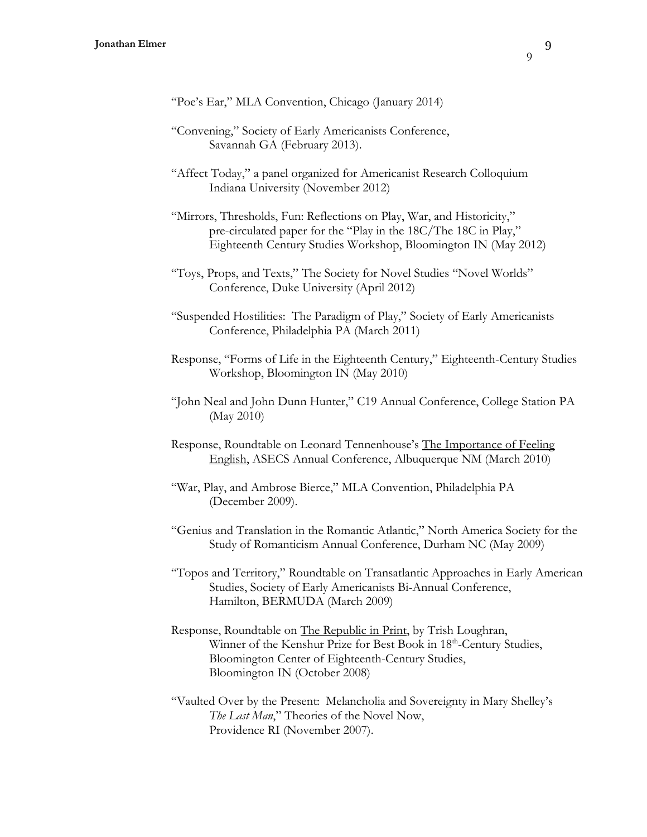- "Convening," Society of Early Americanists Conference, Savannah GA (February 2013).
- "Affect Today," a panel organized for Americanist Research Colloquium Indiana University (November 2012)
- "Mirrors, Thresholds, Fun: Reflections on Play, War, and Historicity," pre-circulated paper for the "Play in the 18C/The 18C in Play," Eighteenth Century Studies Workshop, Bloomington IN (May 2012)
- "Toys, Props, and Texts," The Society for Novel Studies "Novel Worlds" Conference, Duke University (April 2012)
- "Suspended Hostilities: The Paradigm of Play," Society of Early Americanists Conference, Philadelphia PA (March 2011)
- Response, "Forms of Life in the Eighteenth Century," Eighteenth-Century Studies Workshop, Bloomington IN (May 2010)
- "John Neal and John Dunn Hunter," C19 Annual Conference, College Station PA (May 2010)
- Response, Roundtable on Leonard Tennenhouse's The Importance of Feeling English, ASECS Annual Conference, Albuquerque NM (March 2010)
- "War, Play, and Ambrose Bierce," MLA Convention, Philadelphia PA (December 2009).
- "Genius and Translation in the Romantic Atlantic," North America Society for the Study of Romanticism Annual Conference, Durham NC (May 2009)
- "Topos and Territory," Roundtable on Transatlantic Approaches in Early American Studies, Society of Early Americanists Bi-Annual Conference, Hamilton, BERMUDA (March 2009)
- Response, Roundtable on The Republic in Print, by Trish Loughran, Winner of the Kenshur Prize for Best Book in 18<sup>th</sup>-Century Studies, Bloomington Center of Eighteenth-Century Studies, Bloomington IN (October 2008)
- "Vaulted Over by the Present: Melancholia and Sovereignty in Mary Shelley's *The Last Man*," Theories of the Novel Now, Providence RI (November 2007).

 $\overline{Q}$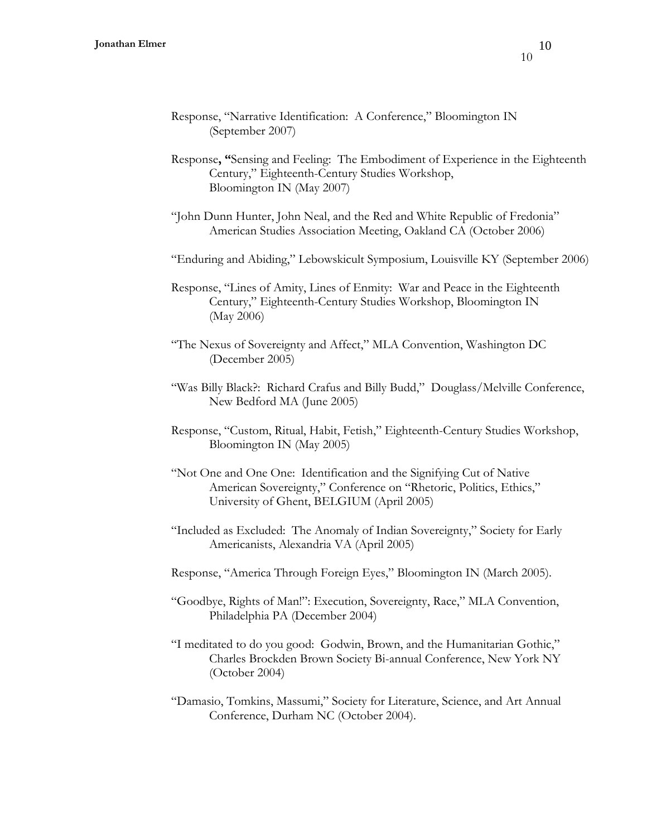- Response, "Narrative Identification: A Conference," Bloomington IN (September 2007)
- Response**, "**Sensing and Feeling: The Embodiment of Experience in the Eighteenth Century," Eighteenth-Century Studies Workshop, Bloomington IN (May 2007)
- "John Dunn Hunter, John Neal, and the Red and White Republic of Fredonia" American Studies Association Meeting, Oakland CA (October 2006)
- "Enduring and Abiding," Lebowskicult Symposium, Louisville KY (September 2006)
- Response, "Lines of Amity, Lines of Enmity: War and Peace in the Eighteenth Century," Eighteenth-Century Studies Workshop, Bloomington IN (May 2006)
- "The Nexus of Sovereignty and Affect," MLA Convention, Washington DC (December 2005)
- "Was Billy Black?: Richard Crafus and Billy Budd," Douglass/Melville Conference, New Bedford MA (June 2005)
- Response, "Custom, Ritual, Habit, Fetish," Eighteenth-Century Studies Workshop, Bloomington IN (May 2005)
- "Not One and One One: Identification and the Signifying Cut of Native American Sovereignty," Conference on "Rhetoric, Politics, Ethics," University of Ghent, BELGIUM (April 2005)
- "Included as Excluded: The Anomaly of Indian Sovereignty," Society for Early Americanists, Alexandria VA (April 2005)
- Response, "America Through Foreign Eyes," Bloomington IN (March 2005).
- "Goodbye, Rights of Man!": Execution, Sovereignty, Race," MLA Convention, Philadelphia PA (December 2004)
- "I meditated to do you good: Godwin, Brown, and the Humanitarian Gothic," Charles Brockden Brown Society Bi-annual Conference, New York NY (October 2004)
- "Damasio, Tomkins, Massumi," Society for Literature, Science, and Art Annual Conference, Durham NC (October 2004).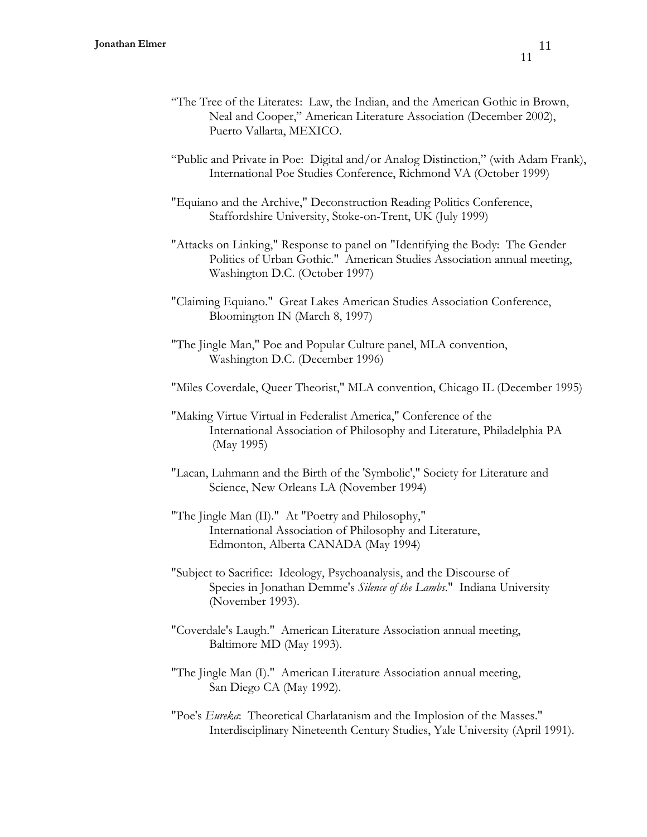- "The Tree of the Literates: Law, the Indian, and the American Gothic in Brown, Neal and Cooper," American Literature Association (December 2002), Puerto Vallarta, MEXICO.
- "Public and Private in Poe: Digital and/or Analog Distinction," (with Adam Frank), International Poe Studies Conference, Richmond VA (October 1999)
- "Equiano and the Archive," Deconstruction Reading Politics Conference, Staffordshire University, Stoke-on-Trent, UK (July 1999)
- "Attacks on Linking," Response to panel on "Identifying the Body: The Gender Politics of Urban Gothic." American Studies Association annual meeting, Washington D.C. (October 1997)
- "Claiming Equiano." Great Lakes American Studies Association Conference, Bloomington IN (March 8, 1997)
- "The Jingle Man," Poe and Popular Culture panel, MLA convention, Washington D.C. (December 1996)
- "Miles Coverdale, Queer Theorist," MLA convention, Chicago IL (December 1995)
- "Making Virtue Virtual in Federalist America," Conference of the International Association of Philosophy and Literature, Philadelphia PA (May 1995)
- "Lacan, Luhmann and the Birth of the 'Symbolic'," Society for Literature and Science, New Orleans LA (November 1994)
- "The Jingle Man (II)." At "Poetry and Philosophy," International Association of Philosophy and Literature, Edmonton, Alberta CANADA (May 1994)
- "Subject to Sacrifice: Ideology, Psychoanalysis, and the Discourse of Species in Jonathan Demme's *Silence of the Lambs*." Indiana University (November 1993).
- "Coverdale's Laugh." American Literature Association annual meeting, Baltimore MD (May 1993).
- "The Jingle Man (I)." American Literature Association annual meeting, San Diego CA (May 1992).
- "Poe's *Eureka*: Theoretical Charlatanism and the Implosion of the Masses." Interdisciplinary Nineteenth Century Studies, Yale University (April 1991).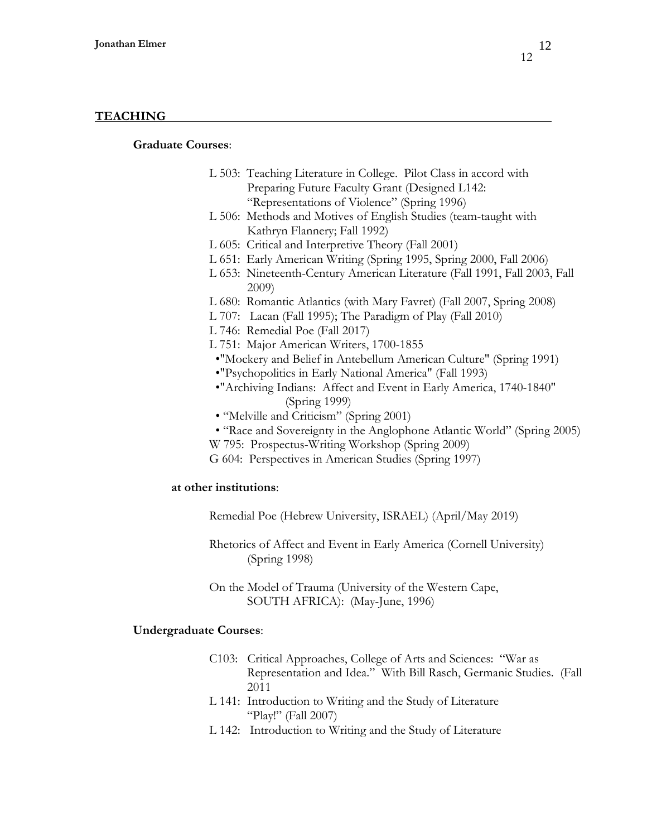### **TEACHING**

## **Graduate Courses**:

- L 503: Teaching Literature in College. Pilot Class in accord with Preparing Future Faculty Grant (Designed L142: "Representations of Violence" (Spring 1996)
- L 506: Methods and Motives of English Studies (team-taught with Kathryn Flannery; Fall 1992)
- L 605: Critical and Interpretive Theory (Fall 2001)
- L 651: Early American Writing (Spring 1995, Spring 2000, Fall 2006)
- L 653: Nineteenth-Century American Literature (Fall 1991, Fall 2003, Fall 2009)
- L 680: Romantic Atlantics (with Mary Favret) (Fall 2007, Spring 2008)
- L 707: Lacan (Fall 1995); The Paradigm of Play (Fall 2010)
- L 746: Remedial Poe (Fall 2017)
- L 751: Major American Writers, 1700-1855
- •"Mockery and Belief in Antebellum American Culture" (Spring 1991)
- •"Psychopolitics in Early National America" (Fall 1993)
- •"Archiving Indians: Affect and Event in Early America, 1740-1840" (Spring 1999)
- "Melville and Criticism" (Spring 2001)
- "Race and Sovereignty in the Anglophone Atlantic World" (Spring 2005)
- W 795: Prospectus-Writing Workshop (Spring 2009)
- G 604: Perspectives in American Studies (Spring 1997)

#### **at other institutions**:

- Remedial Poe (Hebrew University, ISRAEL) (April/May 2019)
- Rhetorics of Affect and Event in Early America (Cornell University) (Spring 1998)
- On the Model of Trauma (University of the Western Cape, SOUTH AFRICA): (May-June, 1996)

#### **Undergraduate Courses**:

- C103: Critical Approaches, College of Arts and Sciences: "War as Representation and Idea." With Bill Rasch, Germanic Studies. (Fall 2011
- L 141: Introduction to Writing and the Study of Literature "Play!" (Fall 2007)
- L 142: Introduction to Writing and the Study of Literature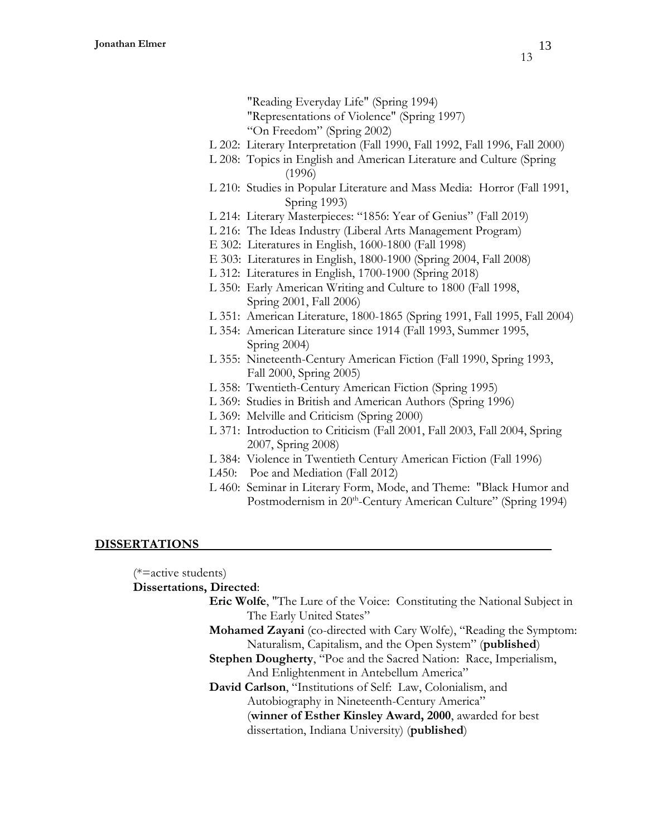- "Reading Everyday Life" (Spring 1994)
- "Representations of Violence" (Spring 1997)
- "On Freedom" (Spring 2002)
- L 202: Literary Interpretation (Fall 1990, Fall 1992, Fall 1996, Fall 2000)
- L 208: Topics in English and American Literature and Culture (Spring (1996)
- L 210: Studies in Popular Literature and Mass Media: Horror (Fall 1991, Spring 1993)
- L 214: Literary Masterpieces: "1856: Year of Genius" (Fall 2019)
- L 216: The Ideas Industry (Liberal Arts Management Program)
- E 302: Literatures in English, 1600-1800 (Fall 1998)
- E 303: Literatures in English, 1800-1900 (Spring 2004, Fall 2008)
- L 312: Literatures in English, 1700-1900 (Spring 2018)
- L 350: Early American Writing and Culture to 1800 (Fall 1998, Spring 2001, Fall 2006)
- L 351: American Literature, 1800-1865 (Spring 1991, Fall 1995, Fall 2004)
- L 354: American Literature since 1914 (Fall 1993, Summer 1995, Spring 2004)
- L 355: Nineteenth-Century American Fiction (Fall 1990, Spring 1993, Fall 2000, Spring 2005)
- L 358: Twentieth-Century American Fiction (Spring 1995)
- L 369: Studies in British and American Authors (Spring 1996)
- L 369: Melville and Criticism (Spring 2000)
- L 371: Introduction to Criticism (Fall 2001, Fall 2003, Fall 2004, Spring 2007, Spring 2008)
- L 384: Violence in Twentieth Century American Fiction (Fall 1996)
- L450: Poe and Mediation (Fall 2012)
- L 460: Seminar in Literary Form, Mode, and Theme: "Black Humor and Postmodernism in 20<sup>th</sup>-Century American Culture" (Spring 1994)

# **DISSERTATIONS**

(\*=active students)

**Dissertations, Directed**:

- **Eric Wolfe**, "The Lure of the Voice: Constituting the National Subject in The Early United States"
- **Mohamed Zayani** (co-directed with Cary Wolfe), "Reading the Symptom: Naturalism, Capitalism, and the Open System" (**published**)
- **Stephen Dougherty**, "Poe and the Sacred Nation: Race, Imperialism, And Enlightenment in Antebellum America"
- **David Carlson**, "Institutions of Self: Law, Colonialism, and Autobiography in Nineteenth-Century America" (**winner of Esther Kinsley Award, 2000**, awarded for best dissertation, Indiana University) (**published**)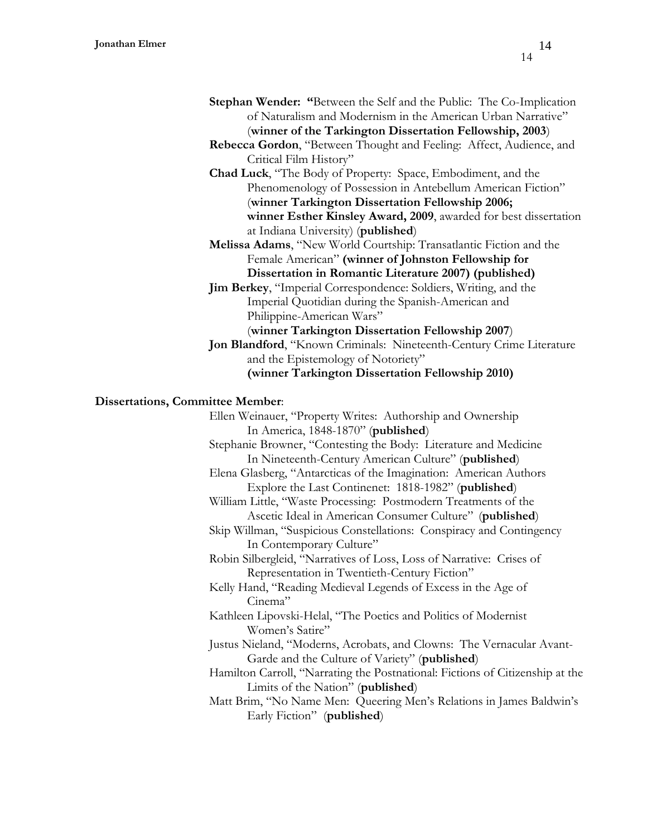- **Stephan Wender: "**Between the Self and the Public: The Co-Implication of Naturalism and Modernism in the American Urban Narrative" (**winner of the Tarkington Dissertation Fellowship, 2003**)
- **Rebecca Gordon**, "Between Thought and Feeling: Affect, Audience, and Critical Film History"
- **Chad Luck**, "The Body of Property: Space, Embodiment, and the Phenomenology of Possession in Antebellum American Fiction" (**winner Tarkington Dissertation Fellowship 2006; winner Esther Kinsley Award, 2009**, awarded for best dissertation at Indiana University) (**published**)
- **Melissa Adams**, "New World Courtship: Transatlantic Fiction and the Female American" **(winner of Johnston Fellowship for Dissertation in Romantic Literature 2007) (published)**
- **Jim Berkey**, "Imperial Correspondence: Soldiers, Writing, and the Imperial Quotidian during the Spanish-American and Philippine-American Wars"
- (**winner Tarkington Dissertation Fellowship 2007**) **Jon Blandford**, "Known Criminals: Nineteenth-Century Crime Literature
	- and the Epistemology of Notoriety" **(winner Tarkington Dissertation Fellowship 2010)**

### **Dissertations, Committee Member**:

Ellen Weinauer, "Property Writes: Authorship and Ownership In America, 1848-1870" (**published**) Stephanie Browner, "Contesting the Body: Literature and Medicine In Nineteenth-Century American Culture" (**published**) Elena Glasberg, "Antarcticas of the Imagination: American Authors Explore the Last Continenet: 1818-1982" (**published**) William Little, "Waste Processing: Postmodern Treatments of the Ascetic Ideal in American Consumer Culture" (**published**) Skip Willman, "Suspicious Constellations: Conspiracy and Contingency In Contemporary Culture" Robin Silbergleid, "Narratives of Loss, Loss of Narrative: Crises of Representation in Twentieth-Century Fiction" Kelly Hand, "Reading Medieval Legends of Excess in the Age of Cinema" Kathleen Lipovski-Helal, "The Poetics and Politics of Modernist Women's Satire" Justus Nieland, "Moderns, Acrobats, and Clowns: The Vernacular Avant-Garde and the Culture of Variety" (**published**) Hamilton Carroll, "Narrating the Postnational: Fictions of Citizenship at the Limits of the Nation" (**published**) Matt Brim, "No Name Men: Queering Men's Relations in James Baldwin's Early Fiction" (**published**)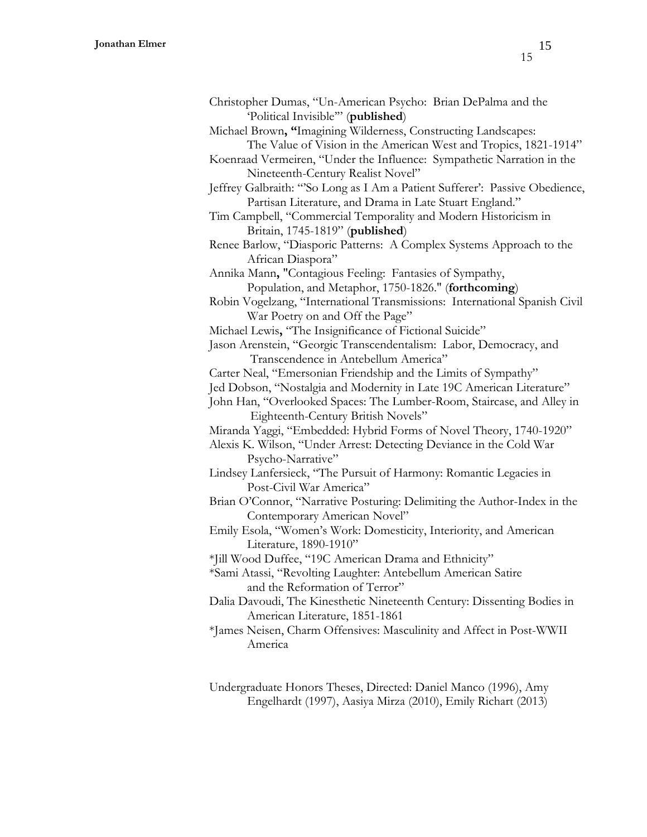| Christopher Dumas, "Un-American Psycho: Brian DePalma and the               |
|-----------------------------------------------------------------------------|
| 'Political Invisible" (published)                                           |
| Michael Brown, "Imagining Wilderness, Constructing Landscapes:              |
| The Value of Vision in the American West and Tropics, 1821-1914"            |
| Koenraad Vermeiren, "Under the Influence: Sympathetic Narration in the      |
| Nineteenth-Century Realist Novel"                                           |
| Jeffrey Galbraith: "So Long as I Am a Patient Sufferer': Passive Obedience, |
| Partisan Literature, and Drama in Late Stuart England."                     |
| Tim Campbell, "Commercial Temporality and Modern Historicism in             |
| Britain, 1745-1819" (published)                                             |

Renee Barlow, "Diasporic Patterns: A Complex Systems Approach to the African Diaspora"

Annika Mann**,** "Contagious Feeling: Fantasies of Sympathy, Population, and Metaphor, 1750-1826." (**forthcoming**)

Robin Vogelzang, "International Transmissions: International Spanish Civil War Poetry on and Off the Page"

Michael Lewis**,** "The Insignificance of Fictional Suicide"

Jason Arenstein, "Georgic Transcendentalism: Labor, Democracy, and Transcendence in Antebellum America"

Carter Neal, "Emersonian Friendship and the Limits of Sympathy"

Jed Dobson, "Nostalgia and Modernity in Late 19C American Literature"

John Han, "Overlooked Spaces: The Lumber-Room, Staircase, and Alley in Eighteenth-Century British Novels"

Miranda Yaggi, "Embedded: Hybrid Forms of Novel Theory, 1740-1920"

Alexis K. Wilson, "Under Arrest: Detecting Deviance in the Cold War Psycho-Narrative"

Lindsey Lanfersieck, "The Pursuit of Harmony: Romantic Legacies in Post-Civil War America"

Brian O'Connor, "Narrative Posturing: Delimiting the Author-Index in the Contemporary American Novel"

Emily Esola, "Women's Work: Domesticity, Interiority, and American Literature, 1890-1910"

\*Jill Wood Duffee, "19C American Drama and Ethnicity"

\*Sami Atassi, "Revolting Laughter: Antebellum American Satire and the Reformation of Terror"

Dalia Davoudi, The Kinesthetic Nineteenth Century: Dissenting Bodies in American Literature, 1851-1861

\*James Neisen, Charm Offensives: Masculinity and Affect in Post-WWII America

Undergraduate Honors Theses, Directed: Daniel Manco (1996), Amy Engelhardt (1997), Aasiya Mirza (2010), Emily Richart (2013)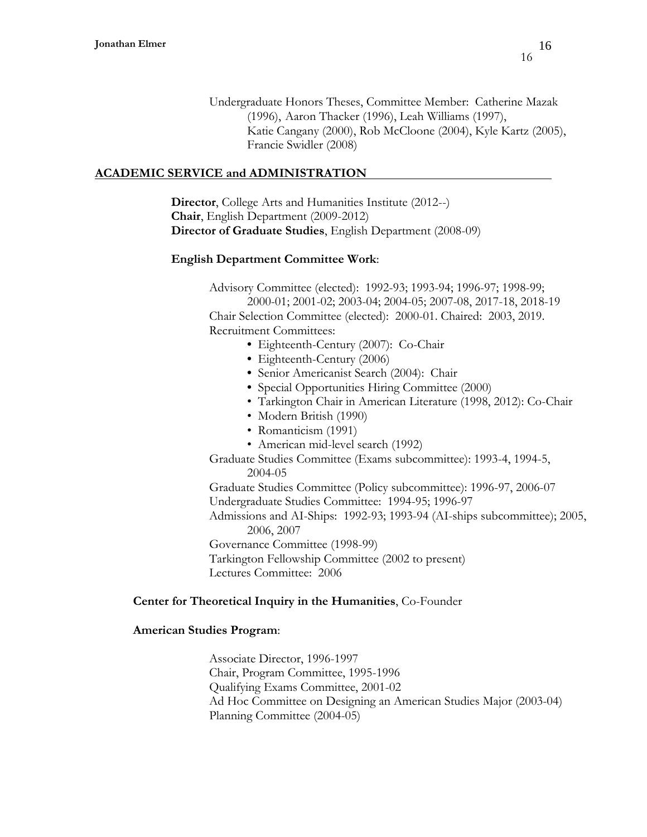Undergraduate Honors Theses, Committee Member: Catherine Mazak (1996), Aaron Thacker (1996), Leah Williams (1997), Katie Cangany (2000), Rob McCloone (2004), Kyle Kartz (2005), Francie Swidler (2008)

# **ACADEMIC SERVICE and ADMINISTRATION**

**Director**, College Arts and Humanities Institute (2012--) **Chair**, English Department (2009-2012) **Director of Graduate Studies**, English Department (2008-09)

# **English Department Committee Work**:

Advisory Committee (elected): 1992-93; 1993-94; 1996-97; 1998-99; 2000-01; 2001-02; 2003-04; 2004-05; 2007-08, 2017-18, 2018-19 Chair Selection Committee (elected): 2000-01. Chaired: 2003, 2019. Recruitment Committees:

- Eighteenth-Century (2007): Co-Chair
	- **•** Eighteenth-Century (2006)
	- Senior Americanist Search (2004): Chair
	- **•** Special Opportunities Hiring Committee (2000)
	- Tarkington Chair in American Literature (1998, 2012): Co-Chair
	- Modern British (1990)
	- Romanticism (1991)
	- American mid-level search (1992)

Graduate Studies Committee (Exams subcommittee): 1993-4, 1994-5, 2004-05

Graduate Studies Committee (Policy subcommittee): 1996-97, 2006-07 Undergraduate Studies Committee: 1994-95; 1996-97

Admissions and AI-Ships: 1992-93; 1993-94 (AI-ships subcommittee); 2005, 2006, 2007

Governance Committee (1998-99)

Tarkington Fellowship Committee (2002 to present) Lectures Committee: 2006

# **Center for Theoretical Inquiry in the Humanities**, Co-Founder

### **American Studies Program**:

Associate Director, 1996-1997 Chair, Program Committee, 1995-1996 Qualifying Exams Committee, 2001-02 Ad Hoc Committee on Designing an American Studies Major (2003-04) Planning Committee (2004-05)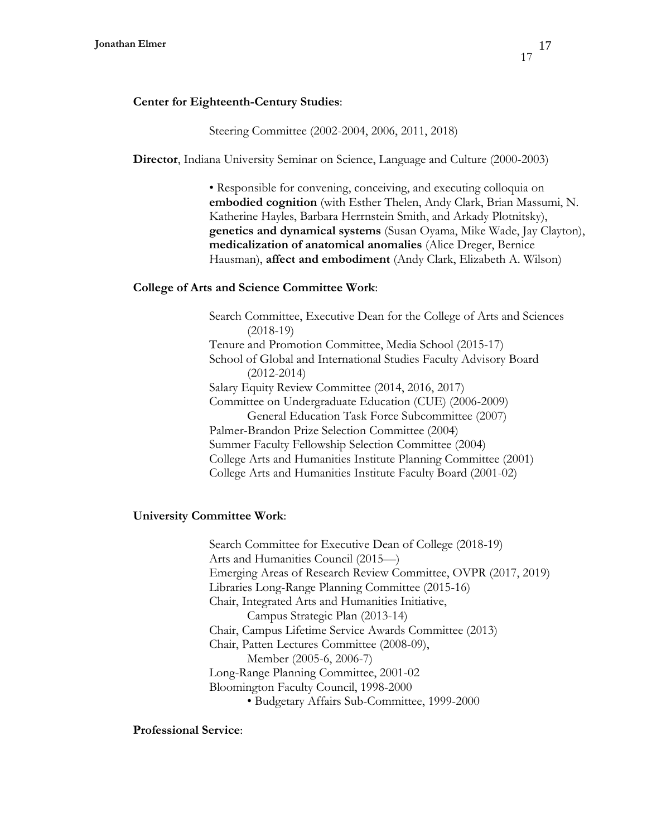## Steering Committee (2002-2004, 2006, 2011, 2018)

**Director**, Indiana University Seminar on Science, Language and Culture (2000-2003)

• Responsible for convening, conceiving, and executing colloquia on **embodied cognition** (with Esther Thelen, Andy Clark, Brian Massumi, N. Katherine Hayles, Barbara Herrnstein Smith, and Arkady Plotnitsky), **genetics and dynamical systems** (Susan Oyama, Mike Wade, Jay Clayton), **medicalization of anatomical anomalies** (Alice Dreger, Bernice Hausman), **affect and embodiment** (Andy Clark, Elizabeth A. Wilson)

## **College of Arts and Science Committee Work**:

Search Committee, Executive Dean for the College of Arts and Sciences (2018-19) Tenure and Promotion Committee, Media School (2015-17) School of Global and International Studies Faculty Advisory Board (2012-2014) Salary Equity Review Committee (2014, 2016, 2017) Committee on Undergraduate Education (CUE) (2006-2009) General Education Task Force Subcommittee (2007) Palmer-Brandon Prize Selection Committee (2004) Summer Faculty Fellowship Selection Committee (2004) College Arts and Humanities Institute Planning Committee (2001) College Arts and Humanities Institute Faculty Board (2001-02)

### **University Committee Work**:

Search Committee for Executive Dean of College (2018-19) Arts and Humanities Council (2015—) Emerging Areas of Research Review Committee, OVPR (2017, 2019) Libraries Long-Range Planning Committee (2015-16) Chair, Integrated Arts and Humanities Initiative, Campus Strategic Plan (2013-14) Chair, Campus Lifetime Service Awards Committee (2013) Chair, Patten Lectures Committee (2008-09), Member (2005-6, 2006-7) Long-Range Planning Committee, 2001-02 Bloomington Faculty Council, 1998-2000

• Budgetary Affairs Sub-Committee, 1999-2000

### **Professional Service**: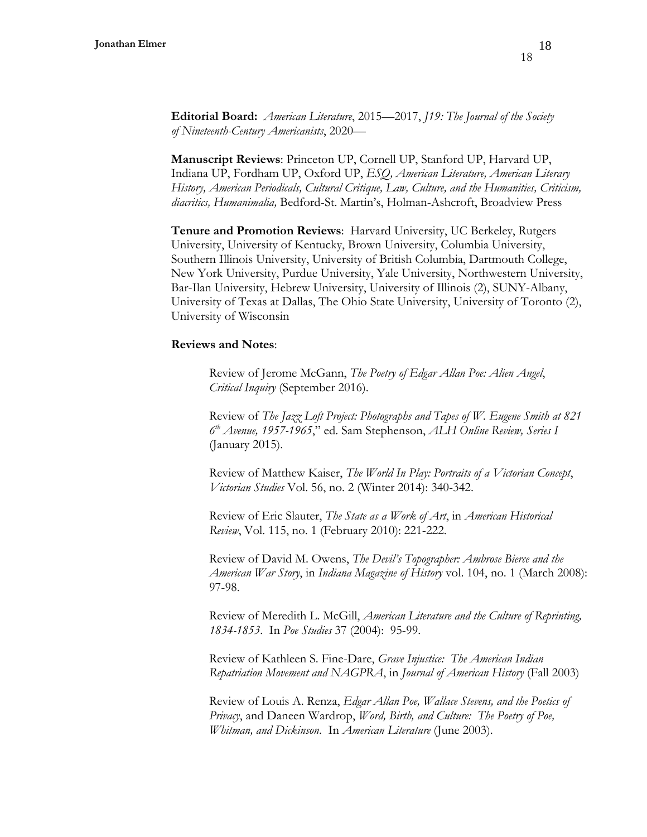**Editorial Board:** *American Literature*, 2015—2017, *J19: The Journal of the Society of Nineteenth-Century Americanists*, 2020—

**Manuscript Reviews**: Princeton UP, Cornell UP, Stanford UP, Harvard UP, Indiana UP, Fordham UP, Oxford UP, *ESQ, American Literature, American Literary History, American Periodicals, Cultural Critique, Law, Culture, and the Humanities, Criticism, diacritics, Humanimalia,* Bedford-St. Martin's, Holman-Ashcroft, Broadview Press

**Tenure and Promotion Reviews**: Harvard University, UC Berkeley, Rutgers University, University of Kentucky, Brown University, Columbia University, Southern Illinois University, University of British Columbia, Dartmouth College, New York University, Purdue University, Yale University, Northwestern University, Bar-Ilan University, Hebrew University, University of Illinois (2), SUNY-Albany, University of Texas at Dallas, The Ohio State University, University of Toronto (2), University of Wisconsin

#### **Reviews and Notes**:

Review of Jerome McGann, *The Poetry of Edgar Allan Poe: Alien Angel*, *Critical Inquiry* (September 2016).

Review of *The Jazz Loft Project: Photographs and Tapes of W. Eugene Smith at 821 6 th Avenue, 1957-1965*," ed. Sam Stephenson, *ALH Online Review, Series I* (January 2015).

Review of Matthew Kaiser, *The World In Play: Portraits of a Victorian Concept*, *Victorian Studies* Vol. 56, no. 2 (Winter 2014): 340-342.

Review of Eric Slauter, *The State as a Work of Art*, in *American Historical Review*, Vol. 115, no. 1 (February 2010): 221-222.

Review of David M. Owens, *The Devil's Topographer: Ambrose Bierce and the American War Story*, in *Indiana Magazine of History* vol. 104, no. 1 (March 2008): 97-98.

Review of Meredith L. McGill, *American Literature and the Culture of Reprinting, 1834-1853*. In *Poe Studies* 37 (2004): 95-99.

Review of Kathleen S. Fine-Dare, *Grave Injustice: The American Indian Repatriation Movement and NAGPRA*, in *Journal of American History* (Fall 2003)

Review of Louis A. Renza, *Edgar Allan Poe, Wallace Stevens, and the Poetics of Privacy*, and Daneen Wardrop, *Word, Birth, and Culture: The Poetry of Poe, Whitman, and Dickinson*. In *American Literature* (June 2003).